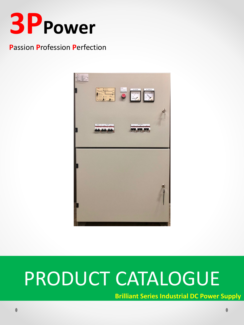

### **Passion Profession Perfection**



# PRODUCT CATALOGUE

**Brilliant Series Industrial DC Power Supply**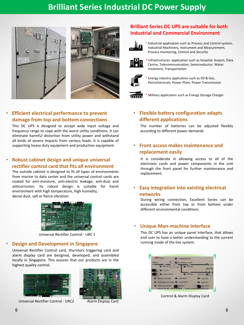# **Brilliant Series Industrial DC Power Supply**





#### • **Efficient electrical performance to prevent damage from top and bottom connections**

This DC UPS is designed to accept wide input voltage and frequency range to cope with the worst utility conditions. It can eliminate harmful distortion from utility power and withstand all kinds of severe impacts from various loads. It is capable of supporting heavy duty equipment and production equipment.

#### • **Robust cabinet design and unique universal rectifier control card that fits all environment**

The outside cabinet is designed to fit all types of environments from marine to data center and the universal control cards are coated for anti-moisture, anti-electric leakage, anti-dust and anticorrosion. Its robust design is suitable for harsh environment with high temperature, high humidity, dense dust, salt or fierce vibration.



Universal Rectifier Control - URC 1

#### • **Design and Development in Singapore**

Universal Rectifier Control card, thyristors triggering card and alarm display card are designed, developed, and assembled locally in Singapore. This assures that our products are in the highest quality control.



Universal Rectifier Control - URC2 Alarm Display Card



#### **Brilliant Series DC UPS are suitable for both Industrial and Commercial Environment**



\* Industrial application such as Process and Control system, Industrial Machinery, Instrument and Measurement, Process monitoring, Control and Security



Infrastructures application such as Hospital, Airport, Data Centre, Telecommunication, Semiconductor, Water treatment, Transportation



Energy industry application such as Oil & Gas, Petrochemicals, Power Plant, Power Transmission

Military application such as Energy Storage Charger

#### • **Flexible battery configuration adapts different applications**

The number of batteries can be adjusted flexibly according to different power demands

#### • **Front access makes maintenance and replacement easily**

It is considerate in allowing access to all of the electronic cards and power components in the unit through the front panel for further maintenance and replacement.

#### • **Easy integration into existing electrical networks**

During wiring connection, Excellent Series can be accessible either from top or from bottom under different environmental conditions.

#### • **Unique Man-machine Interface**

This DC UPS has an unique panel interface, that allows end user to have a better understanding to the current running mode of the live system.



Control & Alarm Display Card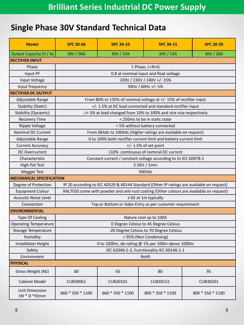# **Single Phase 30V Standard Technical Data**

| <b>Model</b>                              | <b>SPC 30-06</b>                                                                          | <b>SPC 30-10</b> | <b>SPC 30-15</b> | <b>SPC 30-20</b> |  |
|-------------------------------------------|-------------------------------------------------------------------------------------------|------------------|------------------|------------------|--|
| Output Capacity (V / A)                   | 30V / 06A                                                                                 | 30V / 10A        | 30V / 15A        | 30V / 20A        |  |
| <b>RECTIFIER INPUT</b>                    |                                                                                           |                  |                  |                  |  |
| Phase                                     | 1 Phase, L+N+G                                                                            |                  |                  |                  |  |
| Input PF                                  | 0.8 at nominal input and float voltage                                                    |                  |                  |                  |  |
| Input Voltage                             | 220V / 230V / 240V +/- 15%                                                                |                  |                  |                  |  |
| Input frequency                           | 50Hz / 60Hz +/- 5%                                                                        |                  |                  |                  |  |
| <b>RECTIFIER DC OUTPUT</b>                |                                                                                           |                  |                  |                  |  |
| Adjustable Range                          | From 80% to 135% of nominal voltage at +/- 15% of rectifier input                         |                  |                  |                  |  |
| <b>Stability (Static)</b>                 | +/- 1.5% at DC load connected and standard rectifier input                                |                  |                  |                  |  |
| Stability (Dynamic)                       | -/+ 5% at load changed from 10% to 100% and vice visa respectively                        |                  |                  |                  |  |
| <b>Recovery Time</b>                      | < 250ms to be in static state                                                             |                  |                  |                  |  |
| <b>Ripple Voltage</b>                     | < 5% without battery connected                                                            |                  |                  |                  |  |
| <b>Nominal DC Current</b>                 | From 06Adc to 100Adc (Higher ratings are available on request)                            |                  |                  |                  |  |
| Adjustable Range                          | 0 to 100% both rectifier current limit and battery current limit                          |                  |                  |                  |  |
| <b>Current Accuracy</b>                   | $+/- 1.5%$ of set point                                                                   |                  |                  |                  |  |
| <b>DC Overcurrent</b>                     | 110% continuous of nominal DC current                                                     |                  |                  |                  |  |
| Characteristic                            | Constant current / constant voltage according to IU IEC 60478-1                           |                  |                  |                  |  |
| High Pot Test                             | 2.5KV / 1min                                                                              |                  |                  |                  |  |
| <b>Megger Test</b>                        | 500Vdc                                                                                    |                  |                  |                  |  |
| <b>MECHANICAL SPECIFICATION</b>           |                                                                                           |                  |                  |                  |  |
| Degree of Protection                      | IP 20 according to IEC 60529 & 60144 Standard (Other IP ratings are available on request) |                  |                  |                  |  |
| <b>Equipment Colour</b>                   | RAL7035 come with powder and anti-rust coating (Other colours are available on request)   |                  |                  |                  |  |
| <b>Acoustic Noise Level</b>               | $\leq 65$ at 1m typically                                                                 |                  |                  |                  |  |
| Connection                                | Top or Bottom or Sides Entry as per customer requirement                                  |                  |                  |                  |  |
| <b>ENVIRONMENTAL</b>                      |                                                                                           |                  |                  |                  |  |
| <b>Type Of Cooling</b>                    | Nature cool up to 100A                                                                    |                  |                  |                  |  |
| <b>Operating Temperature</b>              | 0 Degree Celsius to 45 Degree Celsius                                                     |                  |                  |                  |  |
| Storage Temperature                       | -20 Degree Celsius to 70 Degree Celsius                                                   |                  |                  |                  |  |
| Humidity                                  | < 95% (Non Condensing)                                                                    |                  |                  |                  |  |
| <b>Installation Height</b>                | 0 to 1000m, de-rating @ 1% per 100m above 1000m                                           |                  |                  |                  |  |
| Safety                                    | IEC 62040-1-2, Functionality IEC 60146-1-1                                                |                  |                  |                  |  |
| Environment                               | <b>RoHS</b>                                                                               |                  |                  |                  |  |
| <b>PHYSICAL</b>                           |                                                                                           |                  |                  |                  |  |
| Gross Weight (KG)                         | 60                                                                                        | 65               | 80               | 95               |  |
| <b>Cabinet Model</b>                      | CUB30061                                                                                  | CUB30101         | CUB30151         | CUB30201         |  |
| <b>Unit Dimension</b><br>$(W * D * H)$ mm | 660 * 350 * 1100                                                                          | 660 * 350 * 1100 | 800 * 350 * 1100 | 800 * 350 * 1100 |  |